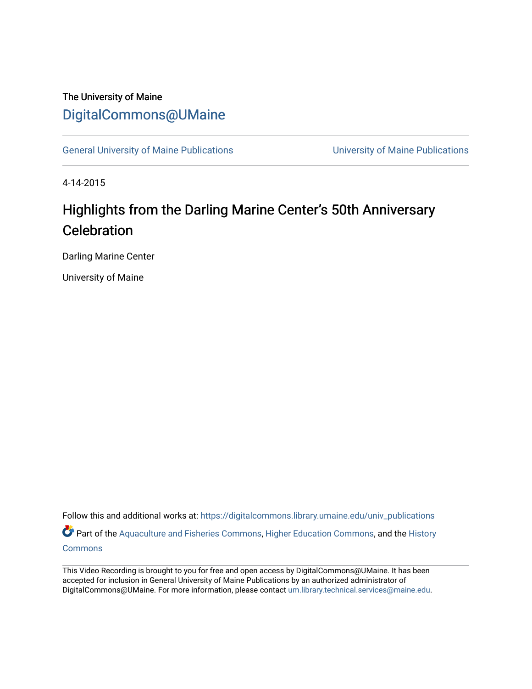## The University of Maine [DigitalCommons@UMaine](https://digitalcommons.library.umaine.edu/)

[General University of Maine Publications](https://digitalcommons.library.umaine.edu/univ_publications) [University of Maine Publications](https://digitalcommons.library.umaine.edu/umaine_publications) 

4-14-2015

## Highlights from the Darling Marine Center's 50th Anniversary **Celebration**

Darling Marine Center

University of Maine

Follow this and additional works at: [https://digitalcommons.library.umaine.edu/univ\\_publications](https://digitalcommons.library.umaine.edu/univ_publications?utm_source=digitalcommons.library.umaine.edu%2Funiv_publications%2F2071&utm_medium=PDF&utm_campaign=PDFCoverPages)  Part of the [Aquaculture and Fisheries Commons](http://network.bepress.com/hgg/discipline/78?utm_source=digitalcommons.library.umaine.edu%2Funiv_publications%2F2071&utm_medium=PDF&utm_campaign=PDFCoverPages), [Higher Education Commons](http://network.bepress.com/hgg/discipline/1245?utm_source=digitalcommons.library.umaine.edu%2Funiv_publications%2F2071&utm_medium=PDF&utm_campaign=PDFCoverPages), and the [History](http://network.bepress.com/hgg/discipline/489?utm_source=digitalcommons.library.umaine.edu%2Funiv_publications%2F2071&utm_medium=PDF&utm_campaign=PDFCoverPages) **[Commons](http://network.bepress.com/hgg/discipline/489?utm_source=digitalcommons.library.umaine.edu%2Funiv_publications%2F2071&utm_medium=PDF&utm_campaign=PDFCoverPages)** 

This Video Recording is brought to you for free and open access by DigitalCommons@UMaine. It has been accepted for inclusion in General University of Maine Publications by an authorized administrator of DigitalCommons@UMaine. For more information, please contact [um.library.technical.services@maine.edu](mailto:um.library.technical.services@maine.edu).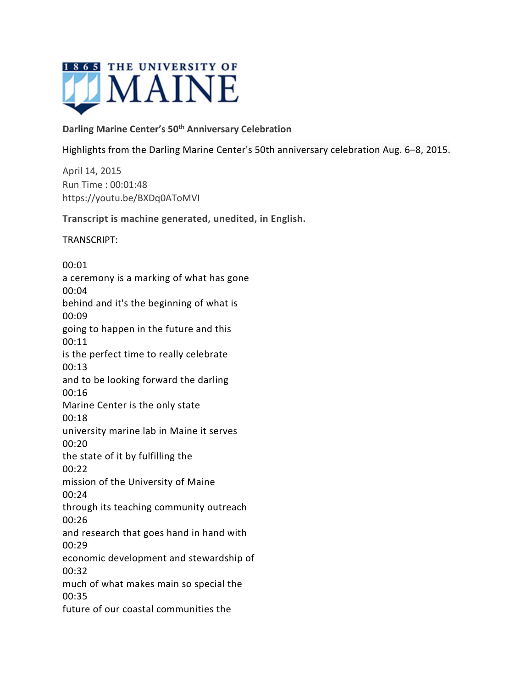

## **Darling Marine Center's 50th Anniversary Celebration**

Highlights from the Darling Marine Center's 50th anniversary celebration Aug. 6–8, 2015.

April 14, 2015 Run Time : 00:01:48 https://youtu.be/BXDq0AToMVI

**Transcript is machine generated, unedited, in English.**

TRANSCRIPT:

00:01 a ceremony is a marking of what has gone 00:04 behind and it's the beginning of what is 00:09 going to happen in the future and this 00:11 is the perfect time to really celebrate 00:13 and to be looking forward the darling 00:16 Marine Center is the only state 00:18 university marine lab in Maine it serves 00:20 the state of it by fulfilling the 00:22 mission of the University of Maine 00:24 through its teaching community outreach 00:26 and research that goes hand in hand with 00:29 economic development and stewardship of 00:32 much of what makes main so special the 00:35 future of our coastal communities the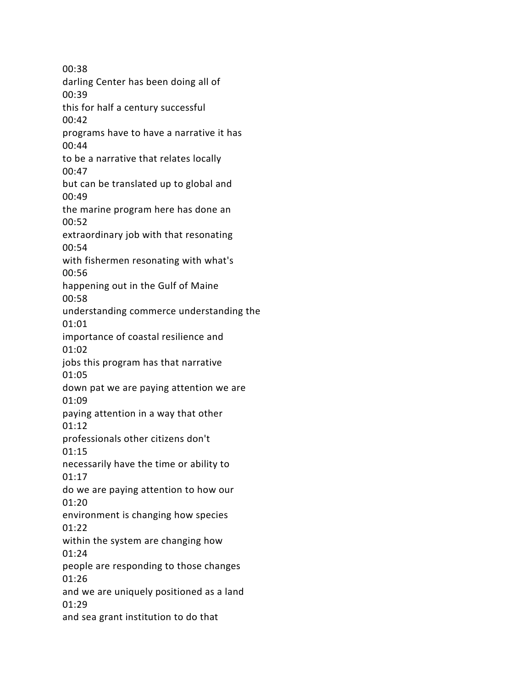00:38 darling Center has been doing all of 00:39 this for half a century successful 00:42 programs have to have a narrative it has 00:44 to be a narrative that relates locally 00:47 but can be translated up to global and 00:49 the marine program here has done an 00:52 extraordinary job with that resonating 00:54 with fishermen resonating with what's 00:56 happening out in the Gulf of Maine 00:58 understanding commerce understanding the 01:01 importance of coastal resilience and 01:02 jobs this program has that narrative 01:05 down pat we are paying attention we are 01:09 paying attention in a way that other 01:12 professionals other citizens don't 01:15 necessarily have the time or ability to 01:17 do we are paying attention to how our 01:20 environment is changing how species 01:22 within the system are changing how 01:24 people are responding to those changes 01:26 and we are uniquely positioned as a land 01:29 and sea grant institution to do that